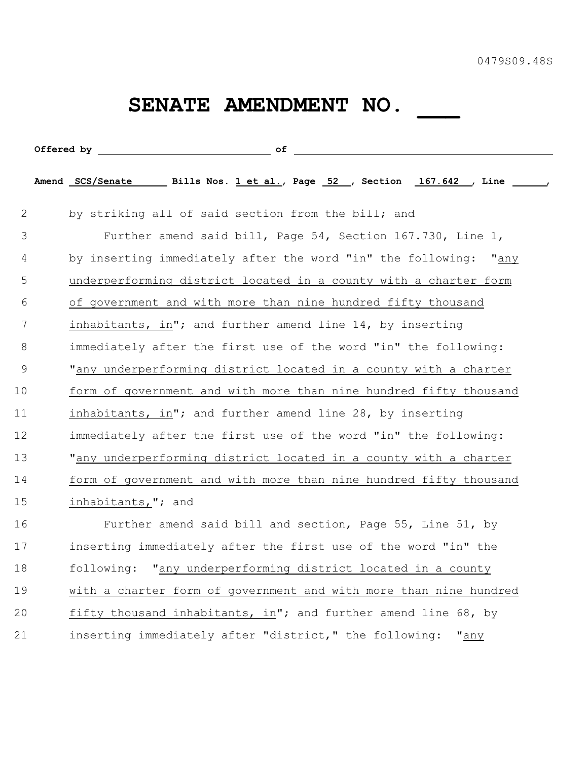## SENATE AMENDMENT NO. \_\_\_\_\_

|             | Amend SCS/Senate Bills Nos. 1 et al., Page 52 , Section 167.642 , Line , |
|-------------|--------------------------------------------------------------------------|
| 2           | by striking all of said section from the bill; and                       |
| 3           | Further amend said bill, Page 54, Section 167.730, Line 1,               |
| 4           | by inserting immediately after the word "in" the following: "any         |
| 5           | underperforming district located in a county with a charter form         |
| 6           | of government and with more than nine hundred fifty thousand             |
| 7           | inhabitants, in"; and further amend line 14, by inserting                |
| 8           | immediately after the first use of the word "in" the following:          |
| $\mathsf 9$ | "any underperforming district located in a county with a charter         |
| 10          | form of government and with more than nine hundred fifty thousand        |
| 11          | inhabitants, in"; and further amend line 28, by inserting                |
| 12          | immediately after the first use of the word "in" the following:          |
| 13          | "any underperforming district located in a county with a charter         |
| 14          | form of government and with more than nine hundred fifty thousand        |
| 15          | inhabitants,"; and                                                       |
| 16          | Further amend said bill and section, Page 55, Line 51, by                |
| 17          | inserting immediately after the first use of the word "in" the           |
| 18          | following: "any underperforming district located in a county             |
| 19          | with a charter form of government and with more than nine hundred        |
| 20          | fifty thousand inhabitants, in"; and further amend line 68, by           |
| 21          | inserting immediately after "district," the following:<br>"any           |